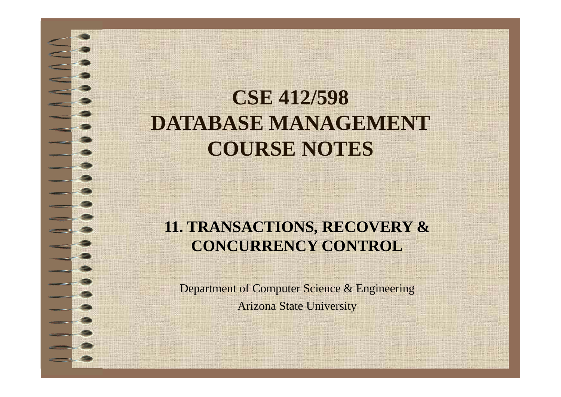# **CSE 412/598 DATABASE MANAGEMENTCOURSE NOTES**

### **11. TRANSACTIONS, RECOVERY & CONCURRENCY CONTROL**

Department of Computer Science & Engineering Arizona State University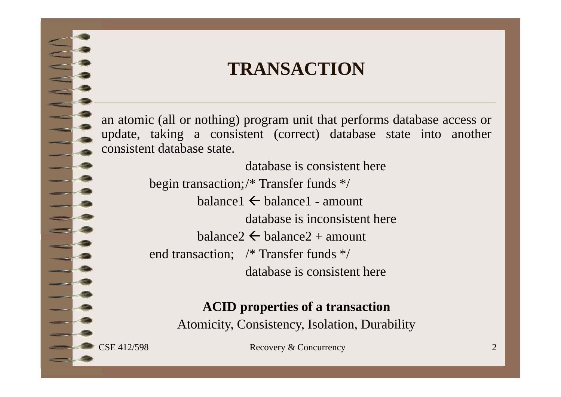### **TRANSACTION**

an atomic (all or nothing) program unit that performs database access or update, taking <sup>a</sup> consistent (correct) database state into another consistent database state.

> database is consistent herebegin transaction;/\* Transfer funds \*/ balance1  $\leftarrow$  balance1 - amount database is inconsistent herebalance $2\leftarrow$  balance $2+$  amount end transaction; /\* Transfer funds \*/ database is consistent here

#### **ACID properties of a transaction**

Atomicity, Consistency, Isolation, Durability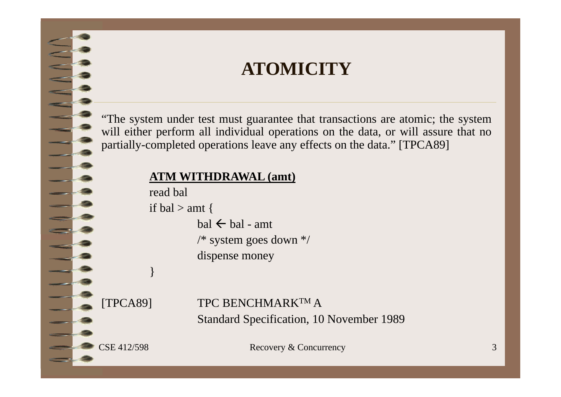### **ATOMICITY**

"The system under test must guarantee that transactions are atomic; the system will either perform all individual operations on the data, or will assure that no partially-completed operations leave any effects on the data." [TPCA89]

#### **ATM WITHDRAWAL (amt)**

read bal

if bal  $>$  amt {

bal  $\leftarrow$  bal - amt /\* system goes down \*/ dispense money

}

[TPCA89] TPC BENCHMARKTM AStandard Specification, 10 November 1989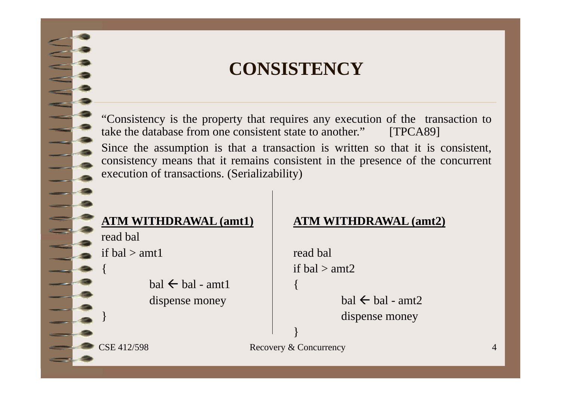### **CONSISTENCY**

"Consistency is the property that requires any execution of the transaction to take the database from one consistent state to another." [TPCA89]

Since the assumption is that <sup>a</sup> transaction is written so that it is consistent, consistency means that it remains consistent in the presence of the concurrent execution of transactions. (Serializability)

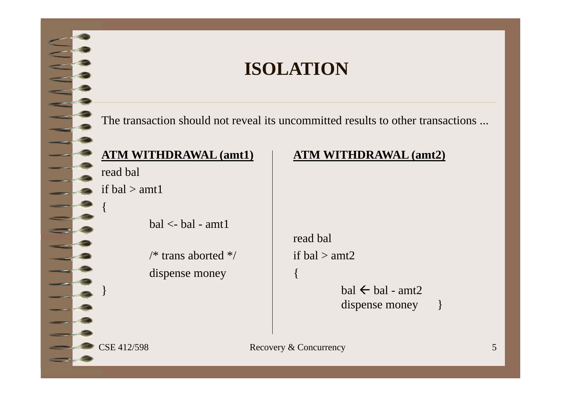### **ISOLATION**

The transaction should not reveal its uncommitted results to other transactions ...

read bal if  $bal > amtl$ {  $bal < -$  bal - amt1

> /\* trans aborted \*/ if bal > amt2 dispense money

```
ATM WITHDRAWAL (amt1) ATM WITHDRAWAL (amt2)
```
read bal

 $\}$  ball  $\{$  ball  $\{$  ball  $\}$  ball  $\{$  ball  $\}$  $\leftarrow$  bal - amt2 dispense money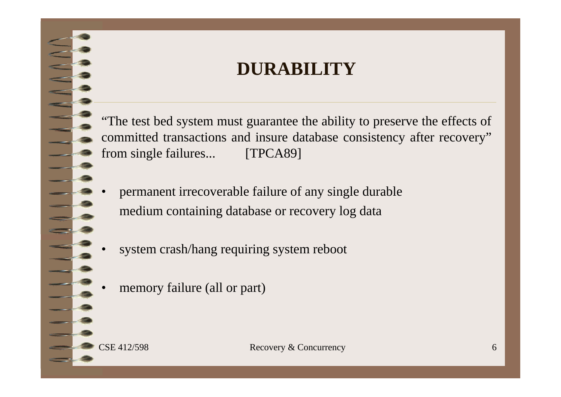### **DURABILITY**

"The test bed system must guarantee the ability to preserve the effects of committed transactions and insure database consistency after recovery" from single failures... [TPCA89]

- • permanen<sup>t</sup> irrecoverable failure of any single durable medium containing database or recovery log data
- •system crash/hang requiring system reboot
- •memory failure (all or part)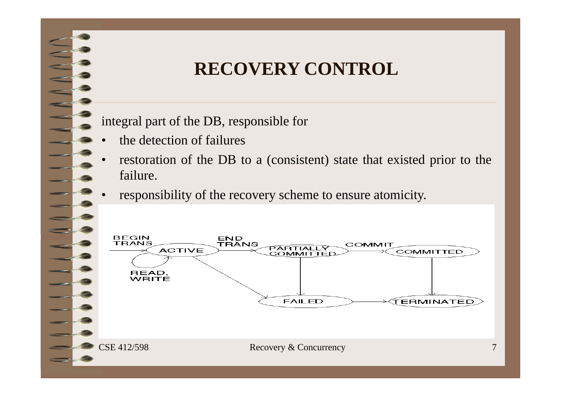# **RECOVERY CONTROL**

integral par<sup>t</sup> of the DB, responsible for

- •the detection of failures
- • restoration of the DB to <sup>a</sup> (consistent) state that existed prior to the failure.
- •responsibility of the recovery scheme to ensure atomicity.

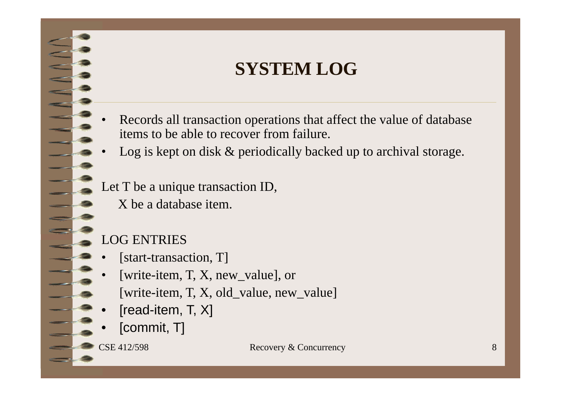# **SYSTEM LOG**

- • Records all transaction operations that affect the value of database items to be able to recover from failure.
- •Log is kept on disk & periodically backed up to archival storage.
- Let T be a unique transaction ID,
	- X be a database item.

#### LOG ENTRIES

- •[start-transaction, T]
- • [write-item, T, X, new\_value], or
	- [write-item, T, X, old\_value, new\_value]
- •[read-item, T, X]
- •[commit, T]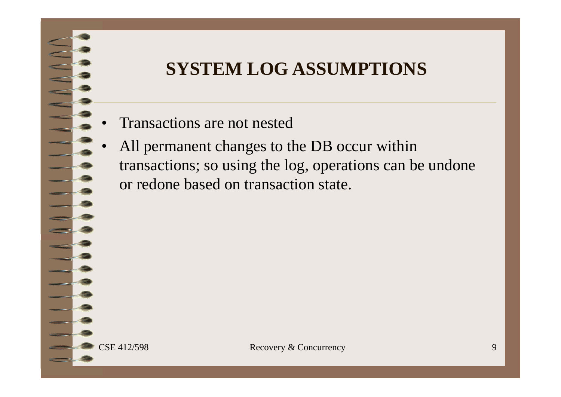# **SYSTEM LOG ASSUMPTIONS**

- •Transactions are not nested
- • All permanent changes to the DB occur within transactions; so using the log, operations can be undone or redone based on transaction state.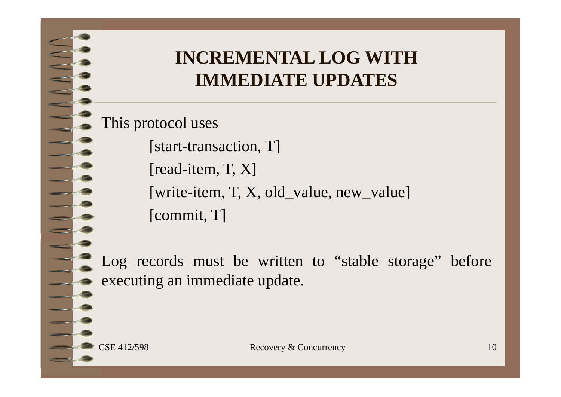# **INCREMENTAL LOG WITH IMMEDIATE UPDATES**

This protocol uses

[start-transaction, T]

[read-item, T, X]

[write-item, T, X, old\_value, new\_value]

[commit, T]

Log records must be written to "stable storage" before executing an immediate update.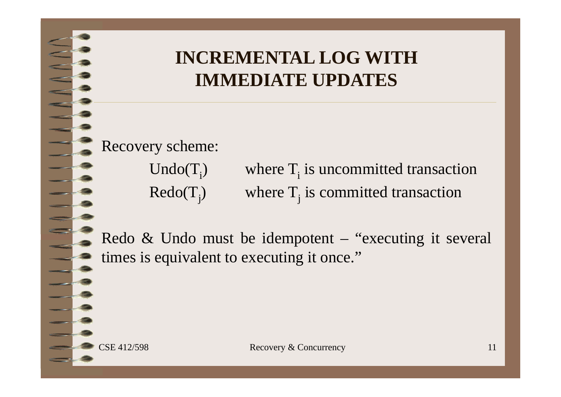# **INCREMENTAL LOG WITH IMMEDIATE UPDATES**

Recovery scheme:

 $Undo(T_i)$ where  $T_i$  is uncommitted transaction  $Redo(T_i)$  where  $T_i$  is committed transaction

Redo & Undo must be idempotent – "executing it several times is equivalent to executing it once."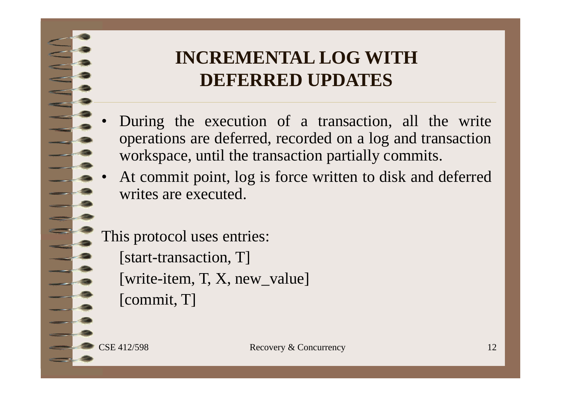# **INCREMENTAL LOG WITH DEFERRED UPDATES**

- • During the execution of <sup>a</sup> transaction, all the write operations are deferred, recorded on <sup>a</sup> log and transaction workspace, until the transaction partially commits.
- • At commit point, log is force written to disk and deferred writes are executed.

This protocol uses entries: [start-transaction, T] [write-item, T, X, new\_value] [commit, T]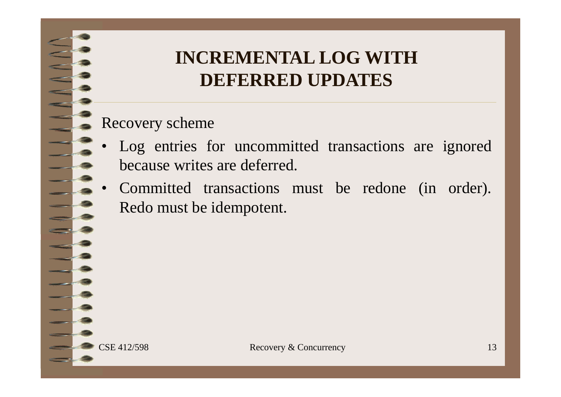# **INCREMENTAL LOG WITH DEFERRED UPDATES**

#### Recovery scheme

- • Log entries for uncommitted transactions are ignored because writes are deferred.
- • Committed transactions must be redone (in order). Redo must be idempotent.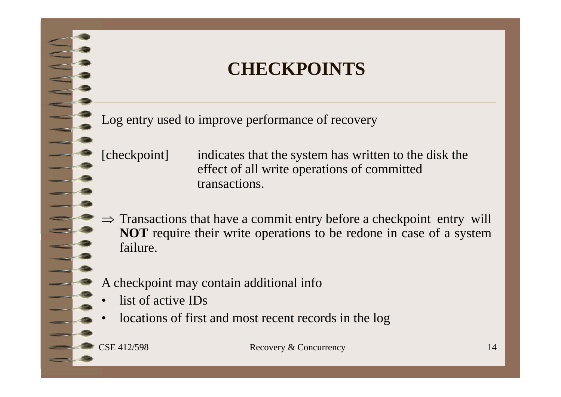### **CHECKPOINTS**

Log entry used to improve performance of recovery

- [checkpoint] indicates that the system has written to the disk the effect of all write operations of committed transactions.
- $\Rightarrow$  Transactions that have a commit entry before a checkpoint entry will **NOT** require their write operations to be redone in case of <sup>a</sup> system failure.
- A checkpoint may contain additional info
- •list of active IDs
- •locations of first and most recent records in the log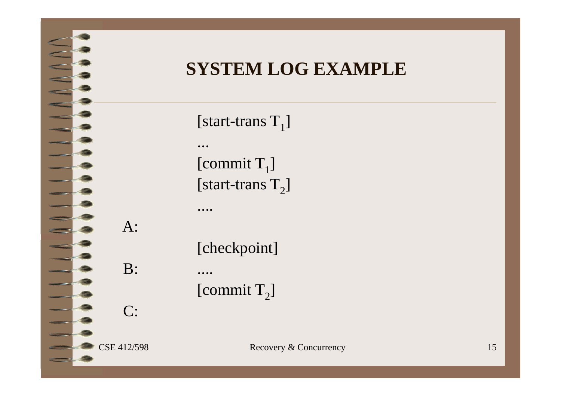

# **SYSTEM LOG EXAMPLE**

[start-trans  ${\rm T}_1$ ] ...[commit  $\mathrm{T}_1$ ] [start-trans  ${\rm T_2}]$ ....

[checkpoint]

[commit  $\mathrm{T}_2$ ]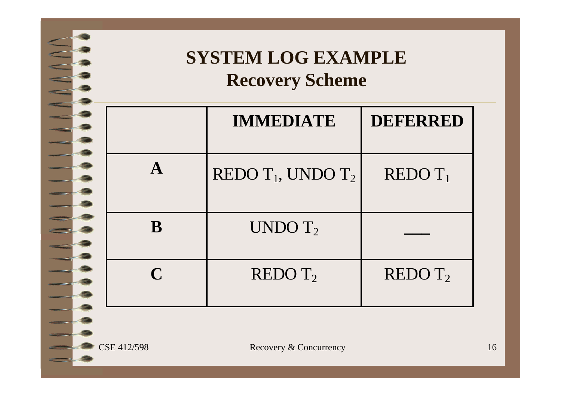

# **SYSTEM LOG EXAMPLE Recovery Scheme**

|             | <b>IMMEDIATE</b>        | <b>DEFERRED</b>     |
|-------------|-------------------------|---------------------|
| $\mathbf A$ | REDO $T_1$ , UNDO $T_2$ | $REDO T_1$          |
| B           | UNDO $T2$               |                     |
| $\mathbf C$ | REDO T <sub>2</sub>     | REDO T <sub>2</sub> |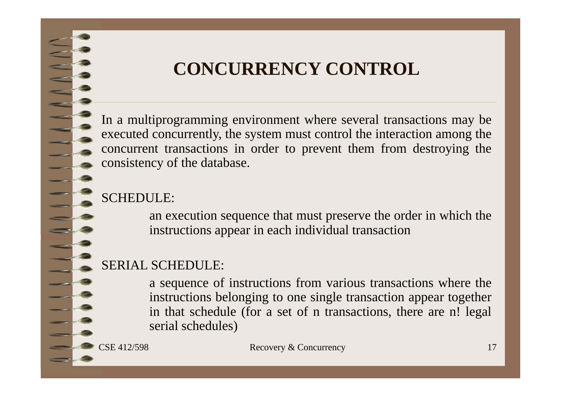# **CONCURRENCY CONTROL**

In <sup>a</sup> multiprogramming environment where several transactions may be executed concurrently, the system must control the interaction among the concurrent transactions in order to preven<sup>t</sup> them from destroying the consistency of the database.

#### SCHEDULE:

an execution sequence that must preserve the order in which the instructions appear in each individual transaction

#### SERIAL SCHEDULE:

<sup>a</sup> sequence of instructions from various transactions where the instructions belonging to one single transaction appear together in that schedule (for <sup>a</sup> set of <sup>n</sup> transactions, there are n! legal serial schedules)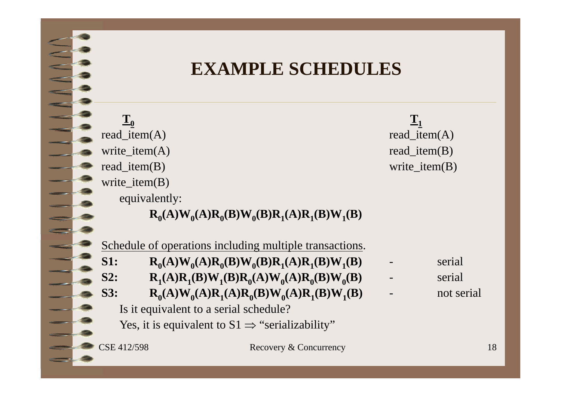### **EXAMPLE SCHEDULES**

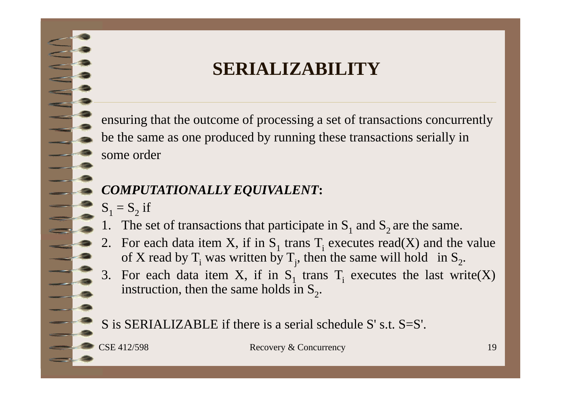# **SERIALIZABILITY**

ensuring that the outcome of processing <sup>a</sup> set of transactions concurrently be the same as one produced by running these transactions serially in some order

- *COMPUTATIONALLY EQUIVALENT***:**
- $S_1 = S_2$  if
- 1. The set of transactions that participate in  $S_1$  and  $S_2$  are the same.
- 2. For each data item X, if in S<sub>1</sub> trans T<sub>i</sub> executes read(X) and the value of X read by T<sub>i</sub> was written by T<sub>j</sub>, then the same will hold in S<sub>2</sub>.
- 3. For each data item X, if in  $S_1$  trans  $T_i$  executes the last write(X) instruction, then the same holds in  $S_2$ .

S is SERIALIZABLE if there is <sup>a</sup> serial schedule S' s.t. S=S'.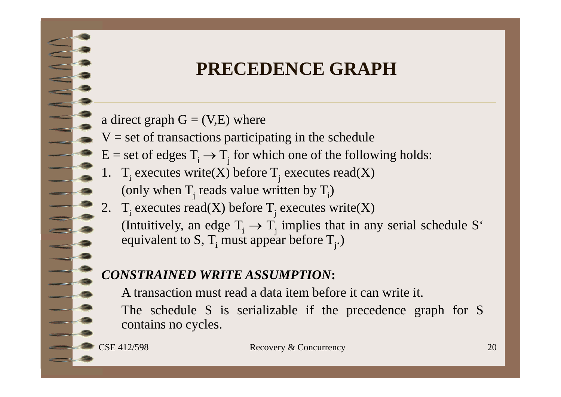# **PRECEDENCE GRAPH**

- a direct graph  $G = (V,E)$  where
- $V =$  set of transactions participating in the schedule
- $E = set of edges T<sub>i</sub> \rightarrow T<sub>j</sub>$  for which one of the following holds:
- 1. T<sub>i</sub> executes write(X) before T<sub>j</sub> executes read(X) (only when  $T_j$  reads value written by  $T_i$ )
- 2. T<sub>i</sub> executes read(X) before T<sub>j</sub> executes write(X) (Intuitively, an edge  $T_i \rightarrow T_j$  implies that in any serial schedule S<sup>ot</sup> equivalent to S, T<sub>i</sub> must appear before T<sub>j</sub>.)

#### *CONSTRAINED WRITE ASSUMPTION***:**

A transaction must read <sup>a</sup> data item before it can write it.

The schedule S is serializable if the precedence graph for S contains no cycles.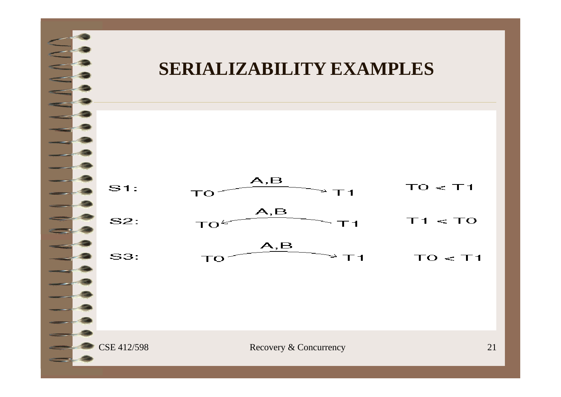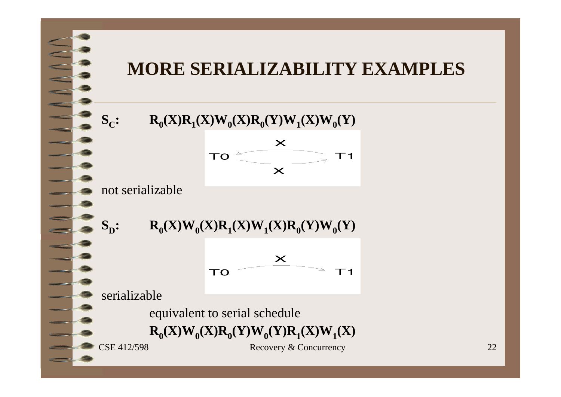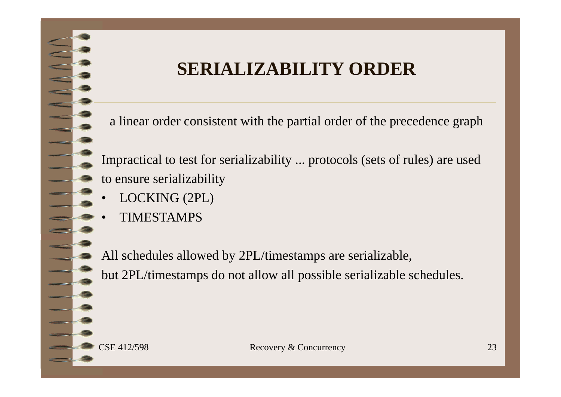# **SERIALIZABILITY ORDER**

a linear order consistent with the partial order of the precedence graph

Impractical to test for serializability ... protocols (sets of rules) are used to ensure serializability

- •LOCKING (2PL)
- •TIMESTAMPS

All schedules allowed by 2PL/timestamps are serializable, but 2PL/timestamps do not allow all possible serializable schedules.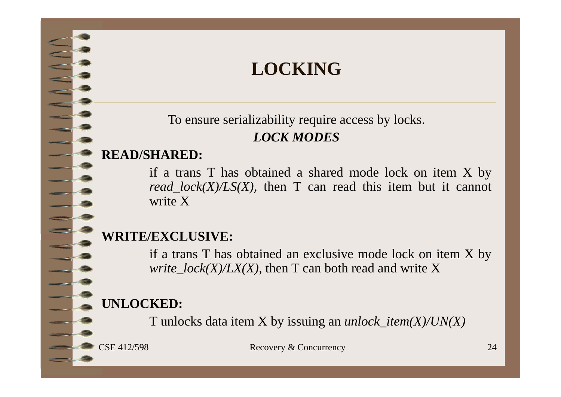# **LOCKING**

To ensure serializability require access by locks. *LOCK MODES*

#### **READ/SHARED:**

if <sup>a</sup> trans T has obtained <sup>a</sup> shared mode lock on item X by *read\_lock(X)/LS(X),* then T can read this item but it cannot write X

#### **WRITE/EXCLUSIVE:**

if <sup>a</sup> trans T has obtained an exclusive mode lock on item X by *write\_lock(X)/LX(X),* then T can both read and write X

### **UNLOCKED:**

T unlocks data item X by issuing an *unlock\_item(X)/UN(X)*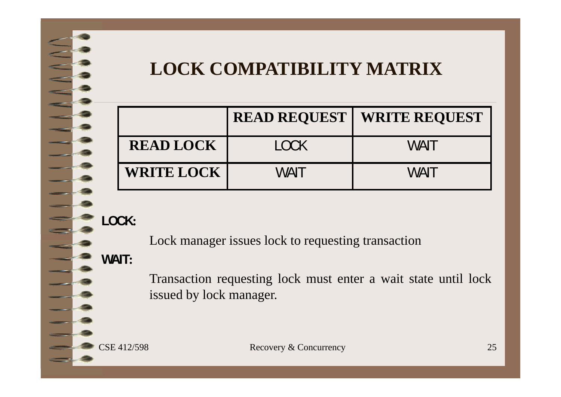# **LOCK COMPATIBILITY MATRIX**

|                   |         | <b>READ REQUEST   WRITE REQUEST</b> |
|-------------------|---------|-------------------------------------|
| <b>READ LOCK</b>  | $1$ OCK | MAN                                 |
| <b>WRITE LOCK</b> | WAIT    | MAIT                                |

**LOCK:**

Lock manager issues lock to requesting transaction

**WAIT:**

Transaction requesting lock must enter <sup>a</sup> wait state until lock issued by lock manager.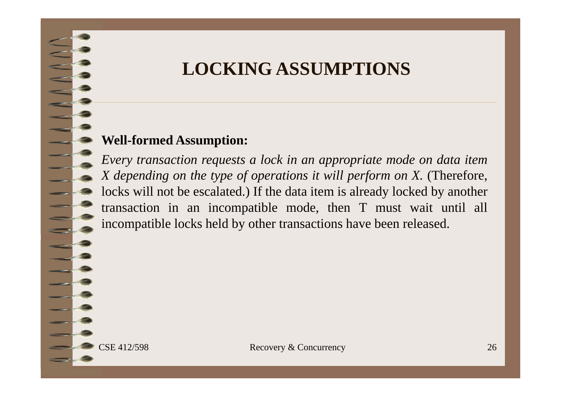### **LOCKING ASSUMPTIONS**

#### **Well-formed Assumption:**

Every transaction requests a lock in an appropriate mode on data item X depending on the type of operations it will perform on X. (Therefore, locks will not be escalated.) If the data item is already locked by another transaction in an incompatible mode, then T must wait until all incompatible locks held by other transactions have been released.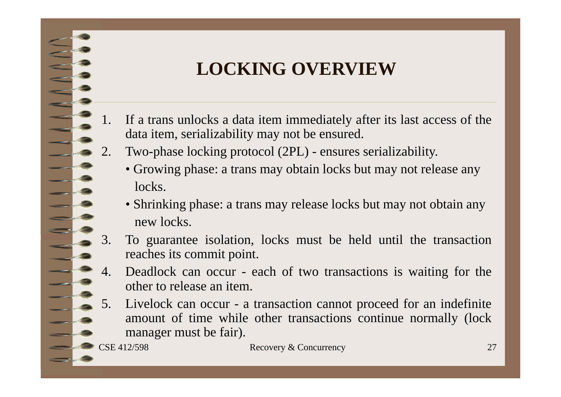# **LOCKING OVERVIEW**

- If a trans unlocks a data item immediately after its last access of the data item, serializability may not be ensured.
- 2. Two-phase locking protocol (2PL) ensures serializability.
	- Growing phase: <sup>a</sup> trans may obtain locks but may not release any locks.
	- Shrinking phase: <sup>a</sup> trans may release locks but may not obtain any new locks.
- 3. To guarantee isolation, locks must be held until the transaction reaches its commit point.
- Deadlock can occur each of two transactions is waiting for the other to release an item.
- 5. Livelock can occur <sup>a</sup> transaction cannot proceed for an indefinite amount of time while other transactions continue normally (lock manager must be fair).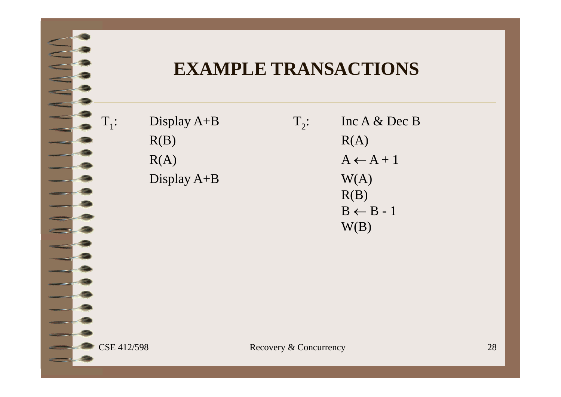### **EXAMPLE TRANSACTIONS**

| $\mathrm{T}_{1}\colon$ | Display $A+B$ | $T_{2}$ : | Inc $A \&$ Dec B     |
|------------------------|---------------|-----------|----------------------|
|                        | R(B)          |           | R(A)                 |
|                        | R(A)          |           | $A \leftarrow A + 1$ |
|                        | Display $A+B$ |           | W(A)                 |
|                        |               |           | R(B)                 |
|                        |               |           | $B \leftarrow B - 1$ |
|                        |               |           | W(B)                 |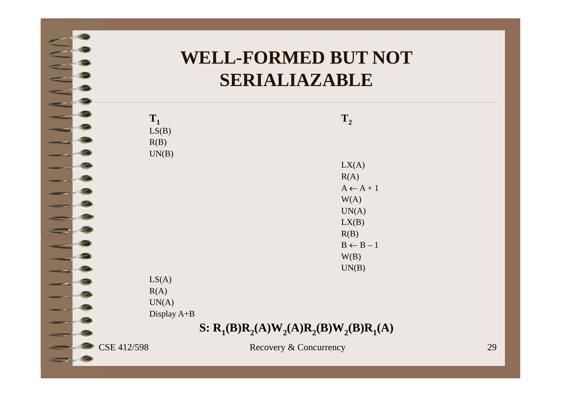# **WELL-FORMED BUT NOT SERIALIAZABLE**

| $T_1$       | $\mathbf{T}_2$                            |    |
|-------------|-------------------------------------------|----|
| LS(B)       |                                           |    |
| R(B)        |                                           |    |
| UN(B)       |                                           |    |
|             | LX(A)                                     |    |
|             | R(A)                                      |    |
|             | $A \leftarrow A + 1$                      |    |
|             | W(A)                                      |    |
|             | UN(A)                                     |    |
|             | LX(B)                                     |    |
|             | R(B)                                      |    |
|             | $B \leftarrow B - 1$                      |    |
|             | W(B)                                      |    |
|             | UN(B)                                     |    |
| LS(A)       |                                           |    |
| R(A)        |                                           |    |
| UN(A)       |                                           |    |
| Display A+B |                                           |    |
|             | S: $R_1(B)R_2(A)W_2(A)R_2(B)W_2(B)R_1(A)$ |    |
| CSE 412/598 | Recovery & Concurrency                    | 29 |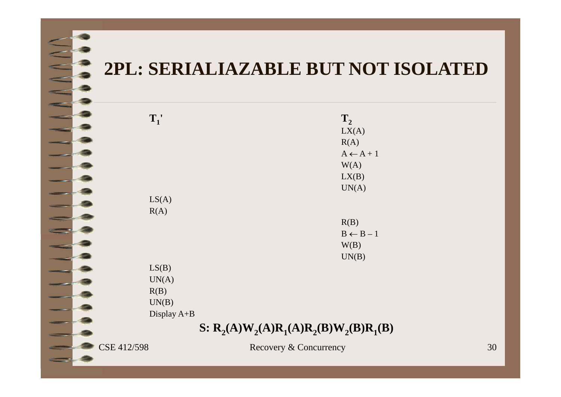### **2PL: SERIALIAZABLE BUT NOT ISOLATED**

|             | $T_1'$      | $T_{2}$                                   |    |
|-------------|-------------|-------------------------------------------|----|
|             |             | LX(A)                                     |    |
|             |             | R(A)                                      |    |
|             |             | $A \leftarrow A + 1$                      |    |
|             |             | W(A)                                      |    |
|             |             | LX(B)                                     |    |
|             |             | UN(A)                                     |    |
|             | LS(A)       |                                           |    |
|             | R(A)        |                                           |    |
|             |             | R(B)                                      |    |
|             |             | $B \leftarrow B - 1$                      |    |
|             |             | W(B)                                      |    |
|             |             | UN(B)                                     |    |
|             | LS(B)       |                                           |    |
|             | UN(A)       |                                           |    |
|             | R(B)        |                                           |    |
|             |             |                                           |    |
|             | UN(B)       |                                           |    |
|             | Display A+B |                                           |    |
|             |             | S: $R_2(A)W_2(A)R_1(A)R_2(B)W_2(B)R_1(B)$ |    |
| CSE 412/598 |             | Recovery & Concurrency                    | 30 |
|             |             |                                           |    |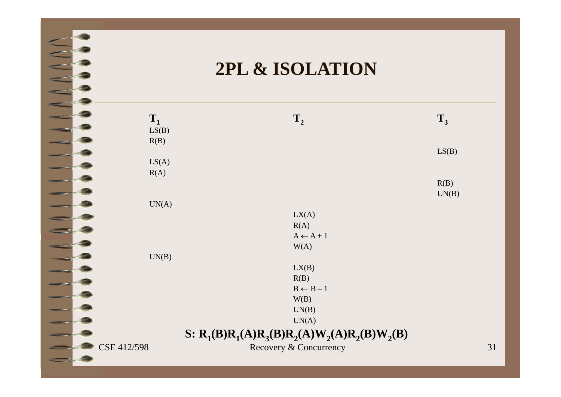### **2PL & ISOLATION**

| $T_1$       | $T_{2}$                                         | $T_3$ |    |
|-------------|-------------------------------------------------|-------|----|
| LS(B)       |                                                 |       |    |
| R(B)        |                                                 |       |    |
|             |                                                 | LS(B) |    |
| LS(A)       |                                                 |       |    |
| R(A)        |                                                 |       |    |
|             |                                                 | R(B)  |    |
|             |                                                 | UN(B) |    |
| UN(A)       |                                                 |       |    |
|             | LX(A)                                           |       |    |
|             | R(A)                                            |       |    |
|             | $A \leftarrow A + 1$                            |       |    |
|             | W(A)                                            |       |    |
| UN(B)       |                                                 |       |    |
|             | LX(B)                                           |       |    |
|             | R(B)                                            |       |    |
|             | $B \leftarrow B - 1$                            |       |    |
|             | W(B)                                            |       |    |
|             | UN(B)                                           |       |    |
|             | UN(A)                                           |       |    |
|             |                                                 |       |    |
|             | S: $R_1(B)R_1(A)R_3(B)R_2(A)W_2(A)R_2(B)W_2(B)$ |       |    |
| CSE 412/598 | Recovery & Concurrency                          |       | 31 |
|             |                                                 |       |    |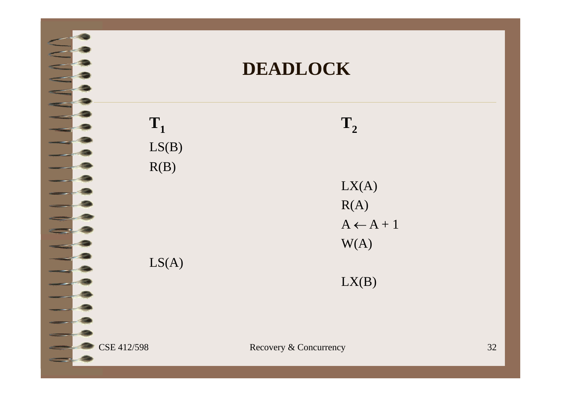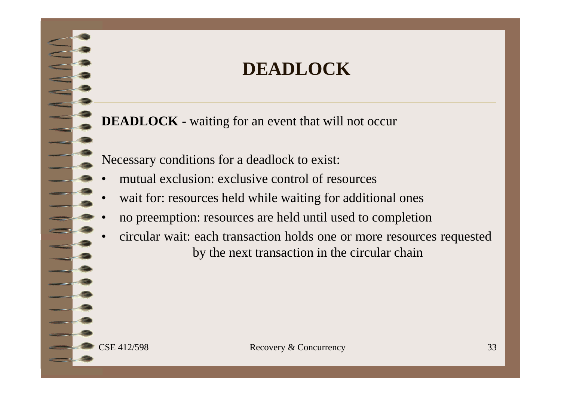### **DEADLOCK**

**DEADLOCK** - waiting for an event that will not occur

Necessary conditions for <sup>a</sup> deadlock to exist:

- •mutual exclusion: exclusive control of resources
- •wait for: resources held while waiting for additional ones
- •no preemption: resources are held until used to completion
- • circular wait: each transaction holds one or more resources requested by the next transaction in the circular chain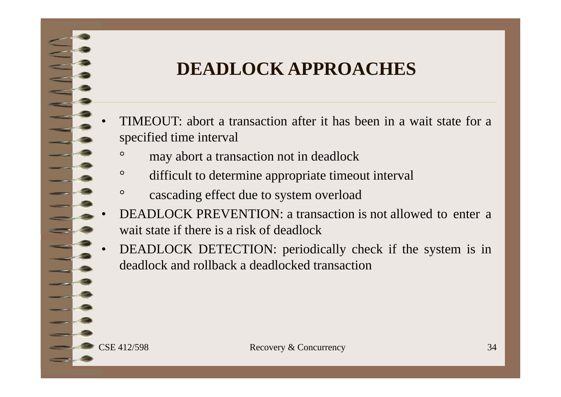# **DEADLOCK APPROACHES**

- • TIMEOUT: abort <sup>a</sup> transaction after it has been in <sup>a</sup> wait state for <sup>a</sup> specified time interval
	- may abort <sup>a</sup> transaction not in deadlock
	- $\circ$ difficult to determine appropriate timeout interval
	- $\circ$ cascading effect due to system overload
- • DEADLOCK PREVENTION: <sup>a</sup> transaction is not allowed to enter <sup>a</sup> wait state if there is <sup>a</sup> risk of deadlock
- • DEADLOCK DETECTION: periodically check if the system is in deadlock and rollback <sup>a</sup> deadlocked transaction

 $\circ$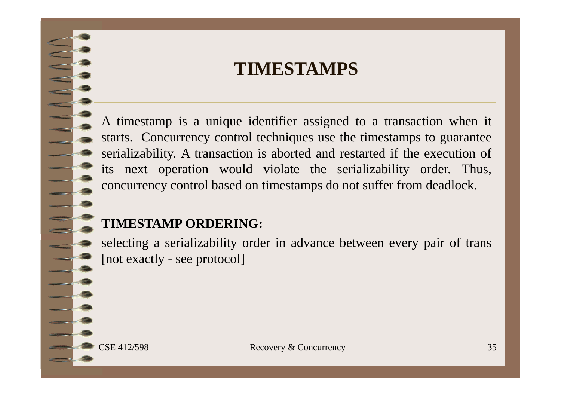### **TIMESTAMPS**

A timestamp is <sup>a</sup> unique identifier assigned to <sup>a</sup> transaction when it starts. Concurrency control techniques use the timestamps to guarantee serializability. A transaction is aborted and restarted if the execution of its next operation would violate the serializability order. Thus, concurrency control based on timestamps do not suffer from deadlock.

#### **TIMESTAMP ORDERING:**

selecting <sup>a</sup> serializability order in advance between every pair of trans [not exactly - see protocol]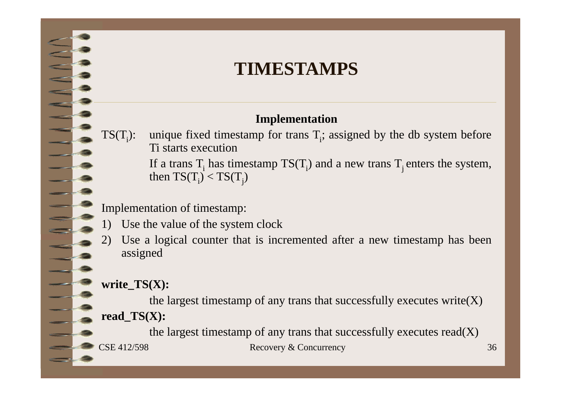### **TIMESTAMPS**

#### **Implementation**

TS(T<sub>i</sub>): unique fixed timestamp for trans T<sub>i</sub>; assigned by the db system before Ti starts execution

If a trans T<sub>i</sub> has timestamp TS(T<sub>i</sub>) and a new trans T<sub>j</sub> enters the system, then TS(T<sub>i</sub>) < TS(T<sub>j</sub>) then  $TS(T_i) < TS(T_i)$ 

Implementation of timestamp:

- 1) Use the value of the system clock
- Use a logical counter that is incremented after a new timestamp has been assigned

#### **write\_TS(X):**

the largest timestamp of any trans that successfully executes write $(X)$ **read\_TS(X):**

CSE 412/598 Recovery & Concurrency 36 the largest timestamp of any trans that successfully executes  $read(X)$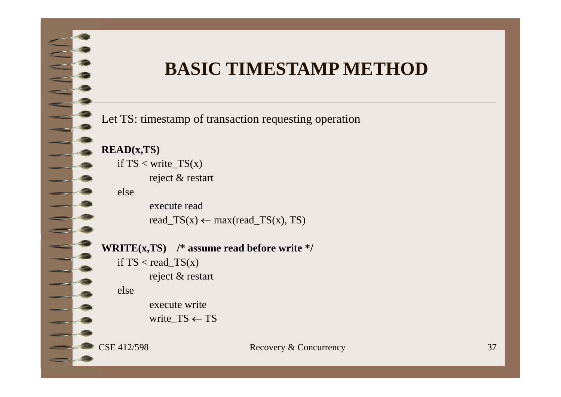### **BASIC TIMESTAMP METHOD**

Let TS: timestamp of transaction requesting operation



if  $TS <$  write\_ $TS(x)$ reject & restart

else

execute readread\_TS(x)  $\leftarrow$  max(read\_TS(x), TS)

**WRITE(x,TS) /\* assume read before write \*/** if  $TS < \text{read_TS}(x)$ 

reject & restart

else

execute write

write  $TS \leftarrow TS$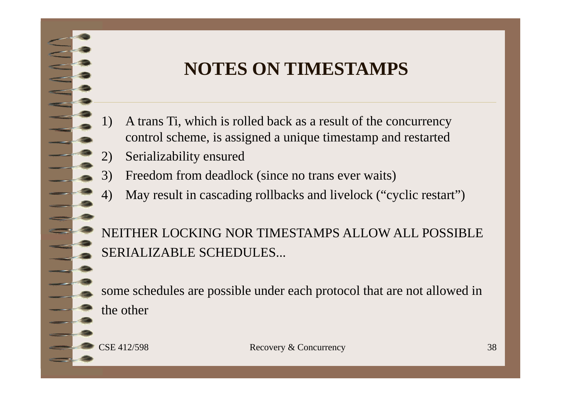# **NOTES ON TIMESTAMPS**

- 1) A trans Ti, which is rolled back as a result of the concurrency control scheme, is assigned a unique timestamp and restarted
- 2) Serializability ensured
- Freedom from deadlock (since no trans ever waits)
- 4) May result in cascading rollbacks and livelock ("cyclic restart")

NEITHER LOCKING NOR TIMESTAMPS ALLOW ALL POSSIBLE SERIALIZABLE SCHEDULES...

some schedules are possible under each protocol that are not allowed in the other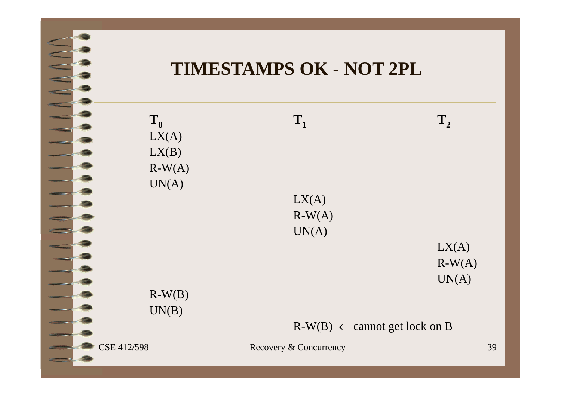### **TIMESTAMPS OK - NOT 2PL**